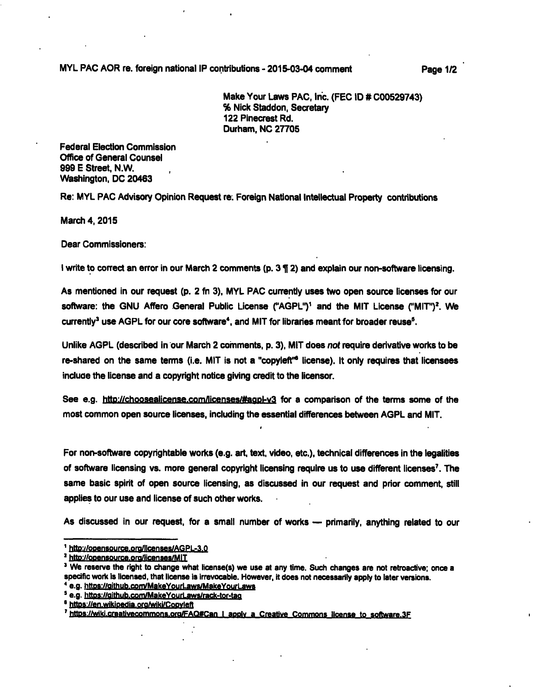**MYL PAC AOR re. foreign national IP contributions - 2015-03-04 comment Page 1/2** 

**Make Your Laws PAC, Inc. (PEG ID # C00529743) % Nick Staddon, Secretary 122 Pinecrest Rd. Durham, NO 27705** 

**Federal Election Commission Office of General Counsel 999 E Street, N.W. Washington, DC 20463** 

**Re: MYL PAC Advisory Opinion Request re. Foreign National Intellectual Property contributions** 

**March 4,2015** 

**Dear Commissioners:** 

**I write to correct an error in our March 2 comments (p. 3 ¶ 2) and explain our non-software licensing.** 

**As mentioned in our request (p. 2 fn 3), MYL PAC currently uses two open source licenses for our**  software: the GNU Affero General Public License ("AGPL")<sup>1</sup> and the MIT License ("MIT")<sup>2</sup>. We currently<sup>3</sup> use AGPL for our core software<sup>4</sup>, and MIT for libraries meant for broader reuse<sup>5</sup>.

**Unlike AGPL (described in our March 2 coinments, p. 3), MIT does not require derivative works to be re-shared on the same terms (i.e. MIT is not a "copyieft"\* license). It only requires that licensees induce the license and a copyright notice giving credit to the licensor.** 

See e.g. http://choosealicense.com/licenses/#agpl-y3 for a comparison of the terms some of the **most common open source licenses, including the essential differences between AGPL and MiT.** 

I

**For non-software copyrightable works (e.g. art, text, video, etc.), technical differences in the iegalities**  of software licensing vs. more general copyright licensing require us to use different licenses<sup>7</sup>. The **same basic spirit of open source iicensing, as discussed in our request and prior comment, stiii appiies to our use and license of such other works.** 

**As discussed in our request, for a smaii number of works — primarily, anything reiated to our** 

**e.g. httDs://Qithub.com/MakeYourLaws/MakeYourl-awB** 

<sup>&</sup>lt;sup>1</sup> http://opensource.org/licenses/AGPL-3.0

<sup>&</sup>lt;sup>2</sup> http://opensource.org/licenses/MIT

<sup>&</sup>lt;sup>3</sup> We reserve the right to change what license(s) we use at any time. Such changes are not retroactive; once a **pacific work is licensed, that license is irrevocable. However, it does not necessarily apply to later versions,** 

**e.a.httDs://aithub.com/MakeYourLaws/rack-tor.taa** 

<sup>&</sup>lt;sup>6</sup> https://en.wikipedia.org/wiki/Copyleft

<sup>&</sup>lt;sup>7</sup> https://wiki.creativecommons.org/FAQ#Can I apply a Creative Commons license to software.3F